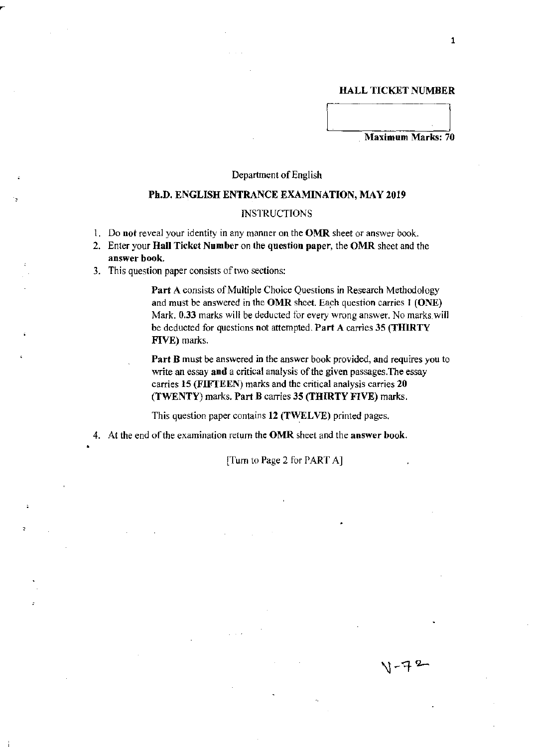#### HALL TICKET NUMBER

Maximum Marks: 70

#### Department of English

#### Ph.D. ENGLISH ENTRANCE EXAMINATION, MAY 2019

#### **INSTRUCTIONS**

- 1. Do not reveal your identity in any manner on the OMR sheet or answer book.
- 2. Enter your Hall Ticket Number on the question paper, the OMR sheet and the answer book.
- 3. This question paper consists of two sections:

,

Part A consists of Multiple Choice Questions in Research Methodology and must be answered in the OMR sheet. Each question carries  $1$  (ONE) Mark. 0.33 marks will be deducted for every wrong answer. No marks. will be deducted for questions not attempted. Part A carries 35 (THIRTY FIVE) marks.

Part B must be answered in the answer book provided, and requires you to write an essay and a critical analysis of the given passages.The essay carries IS (FIFfEEN) marks and the critical analysis carries 20 (TWENTY) marks. Part B carries 35 (THIRTY FIVE) marks.

This question paper contains 12 (TWELVE) printed pages.

4. At the end of the examination return the OMR sheet and the answer book.

[Turn to Page 2 for PART A]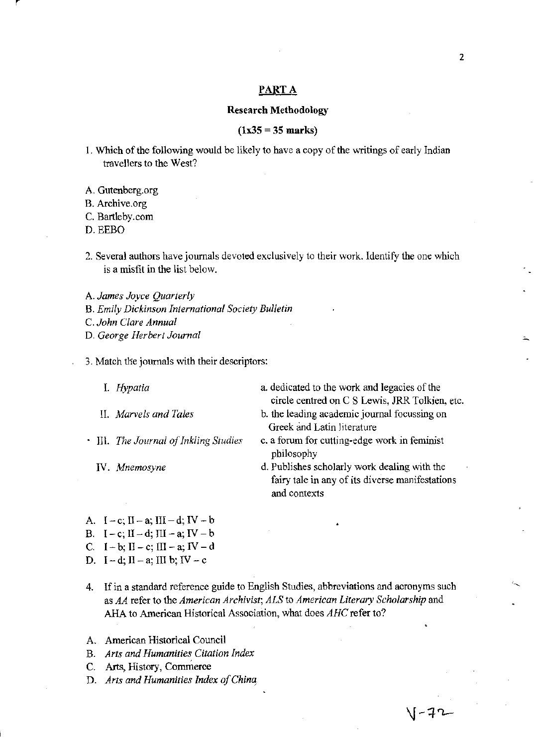# PART<sub>A</sub>

### **Research Methodology**

#### $(1x35 = 35$  marks)

- 1. Which of the following would be likely to have a copy of the writings of early Indian travellers to the West?
- A. Gutenberg.org
- B. Archive.org
- C. Bartleby.com
- D.EEBO
- 2. Several authors have journals devoted exclusively to their work. Identify the one which is a misfit in the list below.
- A. *James Joyce Quarterly*
- B. *Emily Dickinson International Society Bulletin*
- C. *John Clare Annual*
- D. *George Herbert Journal*
- 3. Match the journals with their descriptors:
	-
	- *II. Marvels and Tales*
- Ill. *The Journal of Inkling Studies* 
	- IV. *Mnemosyne*
- I. *Hypatia* a. dedicated to the work and legacies of the circle centred on C S Lewis, JRR Tolkien, etc.
	- h. the leading academic journal focussing on Greek and Latin literature
	- c. a forum for cutting-edge work in feminist philosophy
	- d. Publishes scholarly work dealing with the fairy tale in any of its diverse manifestations and contexts
- A.  $I-c$ ;  $II-a$ ;  $III-d$ ;  $IV-b$
- B. I-c;  $H-d$ ;  $III-a$ ;  $IV-b$
- C.  $I-b$ ; II-c; III-a; IV-d
- D.  $I-d$ ;  $II-a$ ; III b; IV c
- 4. If in a standard reference guide to English Studies, abbreviations and acronyms such as AA refer to the *American Archivist; ALS* to *American Literary Scholarship* and AHA to American Historical Association, what does *ARC* refer to?
- A. American Historical Council
- B. *Arts and Humanities Citation Index*
- C. Arts, History, Commerce
- D. Arts and Humanities Index of China<sub>,</sub>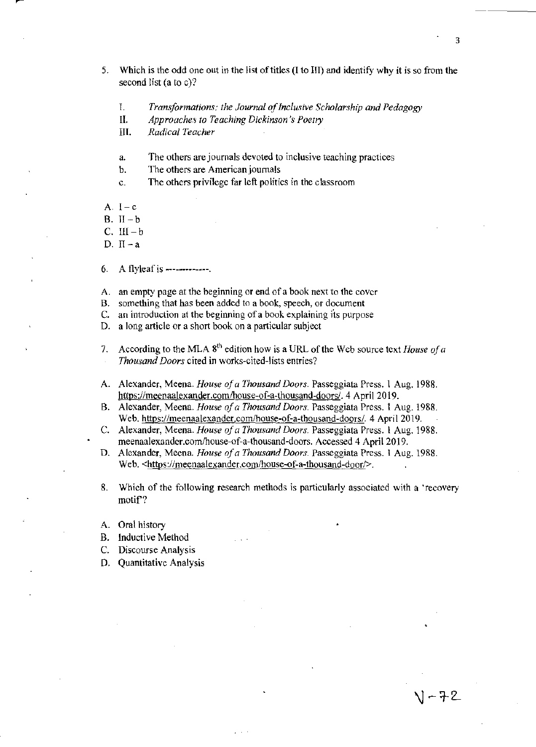- 5. Which is the odd one out in the list of titles (I to III) and identify why it is so from the second list (a to c)?
	- I. *Transformations: the Journal of Inclusive Scholarship and Pedagogy*
	- II. *Approaches to Teaching Dickinson's Poetry*

ITT. *Radical Teacher* 

- a. The others are journals devoted to inclusive teaching practices
- b. The others are American journals
- c. The others privilege far left politics in the classroom
- $A. I-c$
- $B.$   $II b$
- C. III $-b$
- D.  $II a$
- 6. A flyleaf is -------------.
- A. an empty page at the beginning or end of a book next to the cover
- B. something that has been added to a book, speech, or document
- C. an introduction at the beginning of a book explaining its purpose
- D. a long article or a short book on a particular subject
- 7. According to the MLA 8th edition how is a URL of the Web source text *House of a Thousand Doors* cited in works·cited-lists entries?
- A. Alexander, Meena. *House of a Thousand Doors*. Passeggiata Press. 1 Aug. 1988. https://meenaalexander.com/house-of-a-thousand-doors/. 4 April 2019.
- B. Alexander, Meena. *House of a Thousand Doors.* Passeggiata Press. 1 Aug. 1988. Web. https://meenaalexander.com/house-of-a-thousand-doors/. 4 April 2019.
- C. Alexander, Meena. *House of a Thousand Doors.* Passeggiata Press. 1 Aug. 1988. meenaalexandcr.com/house·of·a·thousand-doors. Accessed 4 April 2019.
- D. Alexander, Meena. *House of a Thousand Doors.* Passeggiata Press. 1 Aug. 1988. Web. <https://meenaalexander.com/house-of-a-thousand-door/>.
- 8. Which of the following research methods is particularly associated with a 'recovery motif?
- A. Oral history
- B. Inductive Method
- C. Discourse Analysis
- D, Quantitative Analysis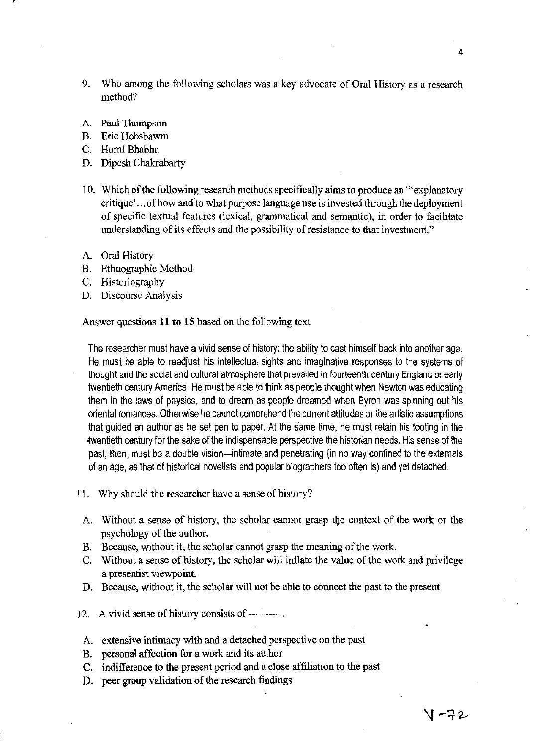- **9. Who among the following scholars was a key advocate of Oral History as a research method?**
- **A. Paul Thompson**
- **B. Eric Hobsbawm**
- C. Homi Bhabha
- D. Dipesh Chakrabarty
- **10. Which** of the **following research methods specifically aims to produce an "'explanatory**  critique'...of how and to what purpose language use is invested through the deployment **of specific textual features (lexical, grammatical and semantic), in order to facilitate understanding of its effects and the possibility of resistance to that investment."**
- A. Oral History
- B. Ethnographic Method
- C. Historiography
- **D. Discourse Analysis**

**Answer questions 11 to 15 based on the following text** 

The researcher must have a vivid sense of history: the ability to cast himself back into another age. He must be able to readjust his intellectual Sights and imaginative responses to the systems of thought and the social and cultural atmosphere that prevailed in fourteenth century England or early twentieth century America. He must be able to think as people thought when Newton was educating them in the laws of physics, and to dream as people dreamed when Byron was spinning out his oriental romances. Otherwise he cannot comprehend the current attitudes or the artistic assumptions that guided an author as he set pen to paper. At the same time, he must retain his footing in the -twentieth century for the sake of the indispensable perspective the historian needs. His sense of the past, then, must be a double vision—intimate and penetrating (in no way confined to the externals of an age, as that of historical novelists and popular biographers too often is) and yet detached.

**11. Why should the researcher have a sense** of history?

- A. Without a sense of history, the scholar cannot grasp the context of the work or the psychology of the author.
- **S. Because, without it, the scholar cannot grasp the meaning of the work.**
- **C. Without a sense** of history, **the scholar will inflate the value** of the **work and privilege a presentist viewpoint.**
- **D. Because, without it, the scholar will not be able to connect the past to the present**
- **12. A vivid sense** of history **consists of ----------.** 
	- **A. extensive intimacy with and a detached perspective on the past**
	- **B. personal affection for a work and its author**
	- **C. indifference to the present period and a close affiliation to the past**
	- **D. peer group validation** of the **research findings**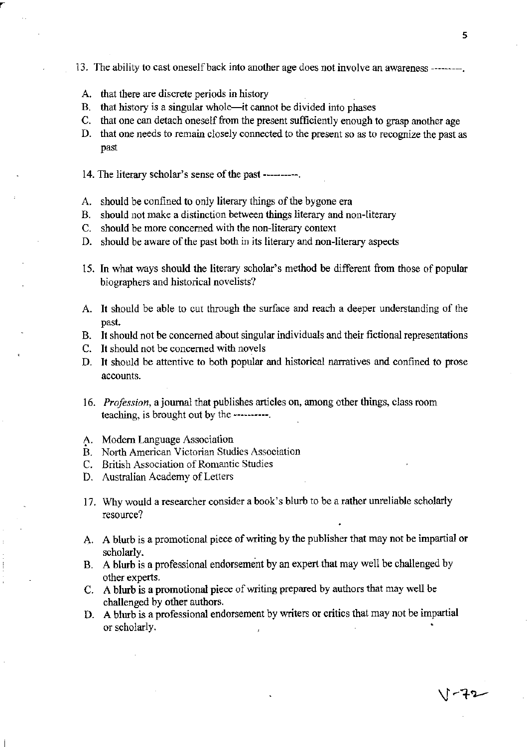- 13. The ability to cast oneself back into another age does not involve an awareness ---------,
	- A. that there are discrete periods in history
	- B. that history is a singular whole—it cannot be divided into phases
	- C. that one can detach oneself from the present sufficiently enough to grasp another age
	- D. that one needs to remain closely connected to the present so as to recognize the past as past

14. The literary scholar's sense of the past ----------.

- A. should be confined to only literary things of the bygone era
- B. should not make a distinction between things literary and non-literary
- C. should be more concerned with the non-literary context
- D. should be aware of the past both in its literary and non-literary aspects
- 15. In what ways should the literary scholar's method be different from those of popular biographers and historical novelists?
- A. It should he able to cut through the surface and reach a deeper understanding of the past.
- B. It should not be concerned about singular individuals and their fictional representations
- C. It should not be concerned with novels
- D. It should be attentive to both popular and historical narratives and confined to prose accounts.
- *16. Profession,* a journal that publishes articles on, among other things, class room teaching, is brought out by the ----------.
- A. Modern Language Association
- B. North American Victorian Studies Association
- C. British Association of Romantic Studies
- D. Australian Academy of Letters
- 17. Why would a researcher consider a book's blurb to be a rather unreliable scholarly resource?
- A. A blurb is a promotional piece of writing by the publisher that may not be impartial or scholarly.
- B. A blurb is a professional endorsement by an expert that may well be challenged by other experts,
- C. A blurb is a promotional piece of writing prepared by authors that may well be challenged by other authors.
- D. A blurb is a professional endorsement by writers or critics that may not be impartial or scholarly.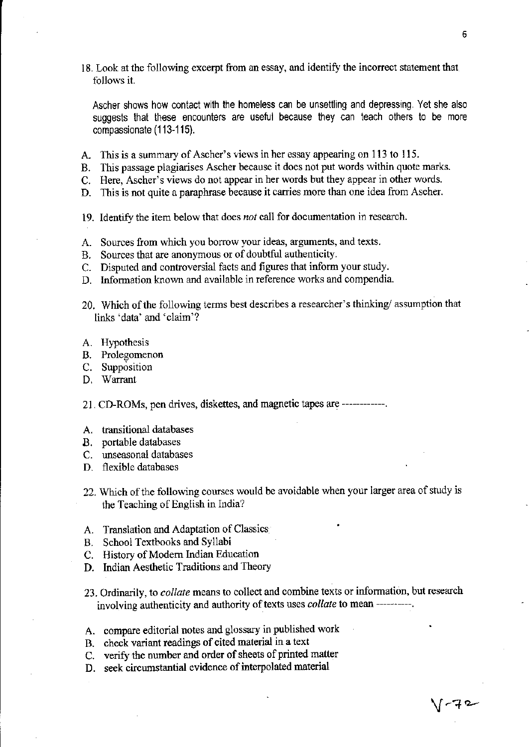18. Look at the following excerpt from an essay, and identify the incorrect statement that follows it.

Ascher shows how contact with the homeless can be unsettling and depressing. Yet she also suggests that these encounters are useful because they can teach others to be more compassionate (113-115).

- A. This is a summary of Ascher's views in her essay appearing on 113 to 115.
- B. This passage plagiarises Ascher because it does not put words within quote marks.
- C. Here, Ascher's views do not appear in her words but they appear in other words.
- D. This is not quite a paraphrase because it carries more than one idea from Ascher.
- 19. Identify the item below that does *not* call for documentation in research.
- A. Sources from which you borrow your ideas, arguments, and texts.
- B, Sources that are anonymous or of doubtful authenticity.
- C. Disputed and controversial facts and figures that inform your study.
- D. Information known and available in reference works and compendia.
- 20. Which of the following terms best describes a researcher's thinking/assumption that links 'data' and 'claim'?
- A. Hypothesis
- B. Prolegomenon
- C. Supposition
- D. Warrant

21. CD-ROMs, pen drives, diskettes, and magnetic tapes are ------------.

- A. transitional databases
- B. portable databases
- c. unseasonal databases
- D. flexible databases
- 22. Which of the following courses would be avoidable when your larger area of study is the Teaching of English in India?
- A. Translation and Adaptation of Classics
- B. School Textbooks and Syllabi
- c. History of Modem Indian Education
- D. Indian Aesthetic Traditions and Theory
- 23. Ordinarily, to *collate* means to collect and combine texts or information, but research involving authenticity and authority of texts uses *collate* to mean ----------.
- A. compare editorial notes and glossary in published work
- B. check variant readings of cited material in a text
- C. verify the number and order of sheets of printed matter
- D. seek circumstantial evidence of interpolated material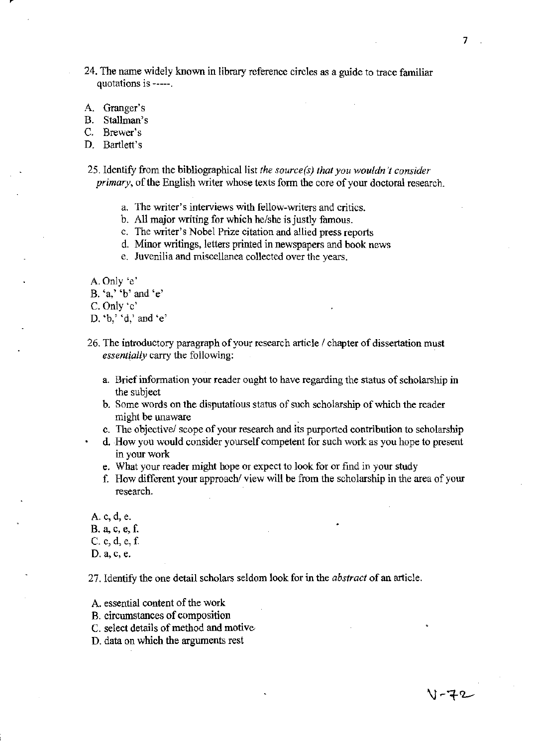A. Granger's

B. Stallman's

C. Brewer's

D. Bartlett's

25. Identify from the bibliographical list *the source(s) that you wouldn" consider primary,* of the English writer whose texts form the core of your doctoral research.

- a. The writer's interviews with fellow-writers and critics.
- h. All major writing for which he/she is justly famous.
- c, The writer's Nobel Prize citation and allied press reports
- d. Minor writings, letters printed in newspapers and book news
- e, Juvenilia and miscellanea collected over the years.

A. Only 'e'

B. 'a,' 'b' and 'e'

C. Only 'c'

D. 'b,' 'd,' and 'e'

- 26. The introductory paragraph of your research article / chapter of dissertation must *essentially* carry the following:
	- a. Brief information your reader ought to have regarding the status of scholarship in the subject
	- b. Some words on the disputatious status of such scholarship of which the reader might be unaware
	- c. The objective/ scope of your research and its purported contribution to scholarship
	- d. How you would consider yourself competent for such work as you hope to present in your work
	- e. What your reader might hope or expect to look for or find in your study
	- f. How different your approach/view will be from the scholarship in the area of your research.

A.c,d,e.

- B. a, c, e, f.
- C. c, d, e, f.

D.a,c,e.

27. Identify the one detail scholars seldom look for in the *abstract* of an article.

- A. essential content of the work
- B. circumstances of composition
- C. select details of method and motive
- D. data on which the arguments rest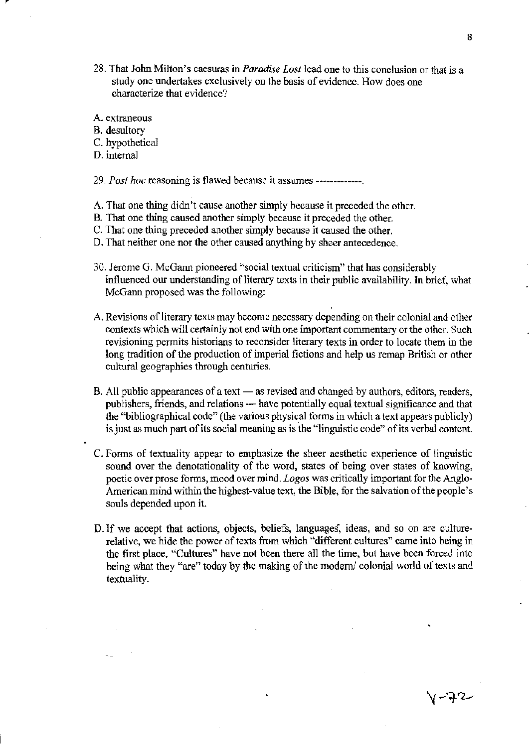- 28. That John Milton's caesuras in *Paradise Lost* lead one to this conclusion or that is a study one undertakes exclusively on the basis of evidence. How does one characterize that evidence?
- A. extraneous
- B. desultory
- C. hypothetical
- D. internal

*29. Post hoc* reasoning is flawed because it assumes -------------,

- A. That one thing didn't cause another simply because it preceded the other.
- B. That one thing caused another simply because it preceded the other.
- C. That one thing preceded another simply because it caused the other.
- D. That neither one nor the other caused anything by sheer antecedence.
- 30. Jerome G. McGarm pioneered "social textual criticism" that has considerably influenced our understanding of literary texts in their public availability. In brief, what McGann proposed was the following:
- A. Revisions of literary texts may become necessary depending on their colonial and other contexts which will certainly not end with one important commentary or the other. Such revisioning permits historians to reconsider literary texts in order to locate them in the long tradition of the production of imperial fictions and help us remap British or other cultural geographies through centuries.
- B. All public appearances of a text  $-$  as revised and changed by authors, editors, readers, publishers, friends, and relations - have potentially equal textual significance and that the "bibliographical code" (the various physical forms in which a text appears publicly) is just as much part of its social meaning as is the '"linguistic code" of its verbal content.
- C. Forms of textuality appear to emphasize the sheer aesthetic experience of linguistic sound over the denotationality of the word, states of being over states of knowing, poetic over prose forms, mood over mind. *Logos* was critically important for the Anglo-American mind within the highest-value text, the Bible, for the salvation of the people's souls depended upon it.
- D. If we accept that actions, objects, beliefs, languages, ideas, and so on are culturerelative, we hide the power of texts from which "different cultures" came into being in the first place. "Cultures" have not been there all the time, but have been forced into being what they "are" today by the making of the modern/ colonial world of texts and textuality.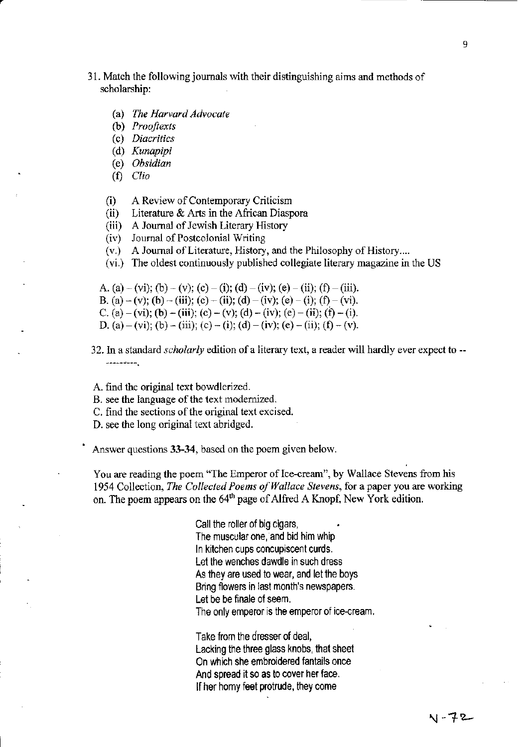- **31. Match the** following journals **with their distinguishing aims and methods of scholarship:** 
	- (a) *The Harvard Advocate*
	- (b) *Prooftexts*
	- **(c)** *Diacritics*
	- (d) *Kunapipi*
	- (e) *Obsidian*
	- *(I) Clio*
	- **(i) A Review** of Contemporary **Criticism**
	- **(ii) Literature & Arts in the African Diaspora**
	- **(iii) A Journal of Jewish Literary History**
	- **(iv) Journal of Postcolonial Writing**
	- (v.) A Journal of Literature, History, and the Philosophy of History ....
	- **(vi.) The oldest continuously published collegiate literary magazine in the US**
	- A. (a) (vi); (b) (v); (c) (i); (d) (iv); (e) (ii); (f) (iii). B. (a) – (v); (b) – (iii); (c) – (ii); (d) – (iv); (e) – (i); (f) – (vi).
	- C. (a) (vi); (b) (iii); (c) (v); (d) (iv); (e) (ii); (f) (i).
	- D. (a) (vi); (b) (iii); (c) (i); (d) (iv); (e) (ii); (f) (v).
- **32. In a standard** *scholarly* **edition of a literary text, a reader will hardly ever expect to --** ---------
- **A. find the original text bowdlerized.**
- **B. see the language** of the **text modernized.**
- **C. find the sections** of the **original text excised.**
- **D. see the long original text abridged.**

**Answer questions 33-34, based on the poem given below.** 

You are reading the poem "The Emperor of Ice-cream", by Wallace Stevens from his **1954 Collection,** *The Collected Poems of Wallace Stevens,* **for a paper you are working**  on. The poem appears on the 64<sup>th</sup> page of Alfred A Knopf, New York edition.

> Call the roller of big cigars, The muscular one, and bid him whip In kitchen cups concupiscent curds. Let the wenches dawdle in such dress As they are used to wear, and let the boys Bring flowers in last month's newspapers. Let be be finale of seem. The only emperor is the emperor of ice-cream.

Take from the dresser of deal, Lacking the three glass knobs, that sheet On which she embroidered fantails once And spread it so as to cover her face. If her homy feet protrude, they come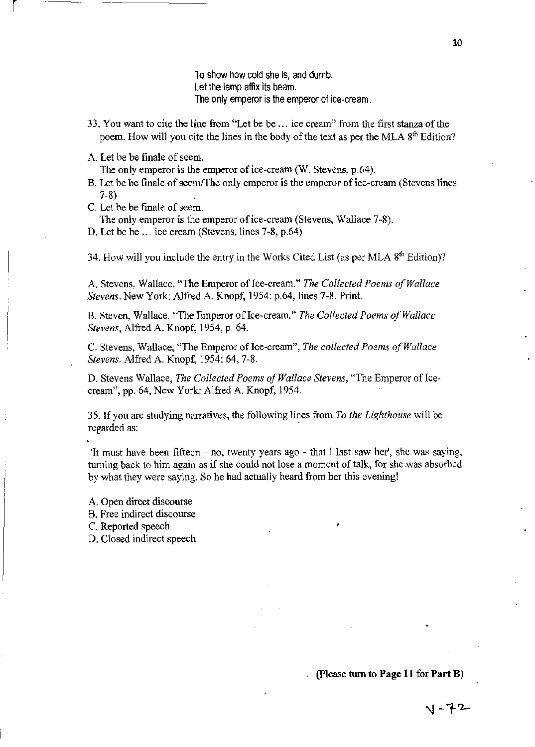To show how cold she is, and dumb. Let the lamp affix its beam. The only emperor is the emperor of ice-cream.

- 33. You want to cite the line from "Let be be ... ice cream" from the first stanza of the poem. How will you cite the lines in the body of the text as per the MLA 8<sup>th</sup> Edition?
- A. Let be be finale of seem.

l,

The only emperor is the emperor of ice-cream (W. Stevens, p.64).

- B. Let be be finale of seem/The only emperor is the emperor of ice-cream (Stevens lines 7-8)
- C. Let be be finale of seem.

The only emperor is the emperor of ice-cream (Stevens, Wallace 7-8).

D. Let be be  $\ldots$  ice cream (Stevens, lines 7-8, p.64)

34. How will you include the entry in the Works Cited List (as per MLA 8<sup>th</sup> Edition)?

A. Stevens, Wallace. "The Emperor of Ice-cream." *The Collected Poems of Wallace Stevens.* New York: Alfred A. Knopf, 1954: p.64, lines 7-8. Print.

B. Steven, Wallace. "The Emperor of Ice-cream." *The Collected Poems of Wallace Stevens,* Alfred A. Knopf, 1954, p. 64.

C. Stevens, Wallace, ""The Emperor of Ice-cream", *The collected Poems of Wallace Stevens.* Alfred A. Knopf, 1954: 64,7-8.

D. Stevens Wallace, *The Collected Poems a/Wallace Stevens,* "The Emperor of Icecream", pp. 64, New York: Alfred A. Knopf, 1954.

35. If you are studying narratives, the following lines from *To the Lighthouse* will be regarded as:

'It must have been fifteen - no, twenty years ago - that I last saw her', she was saying, turning back to him again as if she could not lose a moment of talk, for she .was absorbed by what they were saying. So he had actually heard from her this evening!

A. Open direct discourse B. Free indirect discourse C. Reported speech D. Closed indirect speech

(please turn to Page 11 for Part B)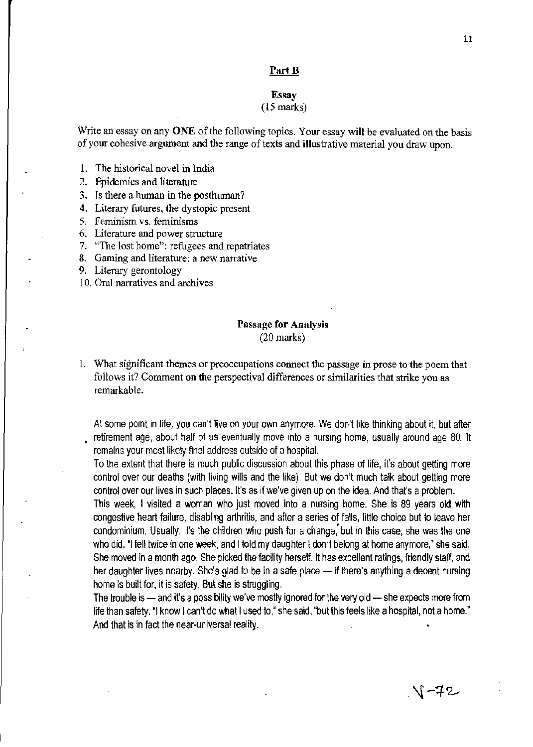# **PartB**

# **Essay**  (15 marks)

**Write an essay on any ONE** of the **following topics. Your essay will be evaluated on the basis ofyaur cohesive argument and the range** of texts **and illustrative material you draw upon.** 

- **1. The historical novel in India**
- 2. Epidemics and literature
- **3. Is there a human in the posthuman?**
- **4. Literary futures, the dystopic present**
- **5. Feminism vs. feminisms**
- **6. Literature and power structure**
- **7. "The lost home"; refugees and repatriates**
- **8. Gaming and literature: a new narrative**
- **9. Literary gerontology**
- **10. Oral narratives and archives**

### **Passage for Analysis**

(20 marks)

**1. What significant themes or preoccupations connect the passage in prose to the poem that follows it? Comment on the perspectival differences or similarities that strike you as remarkable.** 

At some point in life, you can't live on your own anymore. We don't like thinking about it, but after retirement age, about half of us eventually move into a nursing home, usually around age 80. It remains your most likely final address outside of a hospital.

To the extent that there is much public discussion about this phase of life, it's about getting more control over our deaths (with living wills and the like). But we don't much talk about getting more control over our lives in such places. It's as if we've given up on the idea. And that's a problem.

This week, I visited a woman who just moved into a nursing home. She is 89 years old with congestive heart failure, disabling arthritis, and after a series of falls, little choice but to leave her condominium. Usually, it's the children who push for a change, but in this case, she was the one who did. "I fell twice in one week, and I told my daughter I don't belong at home anymore," she said. She moved in a month ago. She picked the facility herself. It has excellent ratings, friendly staff, and her daughter lives nearby. She's glad to be in a safe place - if there's anything a decent nursing home is built for, it is safety. But she is struggling.

The trouble is  $-$  and it's a possibility we've mostly ignored for the very old  $-$  she expects more from life than safety. "I know I can't do what I used to," she said, "but this feels like a hospital, not a home." And that is in fact the near-universal reality.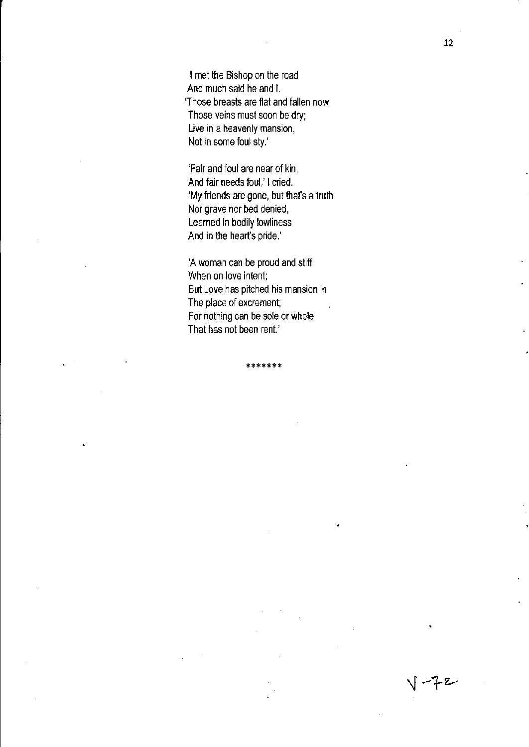I met the Bishop on the road And much said he and I. Those breasts are flat and fallen now Those veins must soon be dry; **Live in a heavenly mansion,**  Not in some foul sty.'

'Fair and foul are near of kin, And fair needs foul,' I cried. 'My friends are gone, but that's a truth Nor grave nor bed denied, Learned in bodily lowliness And in the heart's pride.'

'A woman can be proud and stiff When on love intent; But Love has pitched his mansion in The place of excrement; For nothing can be sole or whole That has not been rent.'

**\*\*\*\*\*\*\*** 

-72